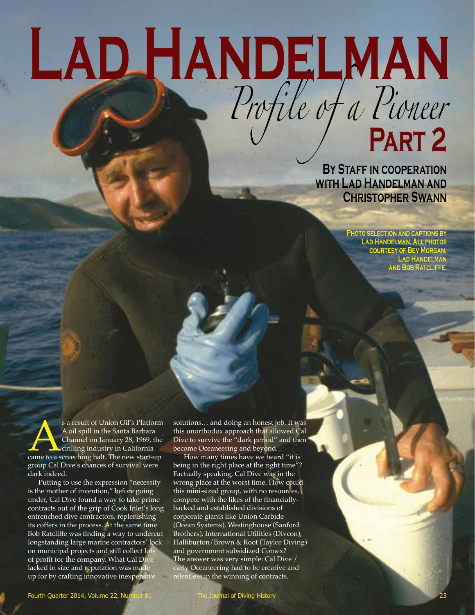# **Lad Handelman**

**BY STAFF IN COOPERATION with Lad Handelman and Christopher Swann**

*Profile of a Pioneer*

**Photo selection and captions by Lad Handelman. All photos courtesy of Bev Morgan, Lad Handelman and Bob Ratcliffe.**

**Part 2**

s a result of Union Oil's Platform<br>A oil spill in the Santa Barbara<br>Channel on January 28, 1969, the<br>drilling industry in California<br>came to a screeching halt. The new start-up A oil spill in the Santa Barbara Channel on January 28, 1969, the drilling industry in California group Cal Dive's chances of survival were dark indeed.

Putting to use the expression "necessity is the mother of invention," before going under, Cal Dive found a way to take prime contracts out of the grip of Cook Inlet's long entrenched dive contractors, replenishing its coffers in the process. At the same time Bob Ratcliffe was finding a way to undercut longstanding large marine contractors' lock on municipal projects and still collect lots of profit for the company. What Cal Dive lacked in size and reputation was made up for by crafting innovative inexpensive

solutions… and doing an honest job. It was this unorthodox approach that allowed Cal Dive to survive the "dark period" and then become Oceaneering and beyond.

How many times have we heard "it is being in the right place at the right time"? Factually speaking, Cal Dive was in the wrong place at the worst time. How could this mini-sized group, with no resources, compete with the likes of the financiallybacked and established divisions of corporate giants like Union Carbide (Ocean Systems), Westinghouse (Sanford Brothers), International Utilities (Divcon), Halliburton/Brown & Root (Taylor Diving) and government subsidized Comex? The answer was very simple: Cal Dive / early Oceaneering had to be creative and relentless in the winning of contracts.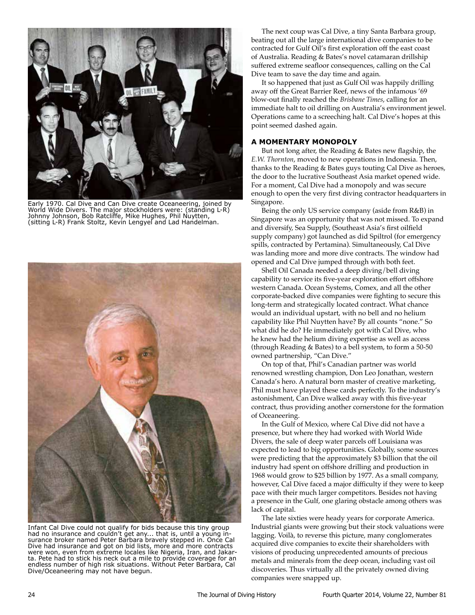

Early 1970. Cal Dive and Can Dive create Oceaneering, joined by World Wide Divers. The major stockholders were: (standing L-R) Johnny Johnson, Bob Ratcliffe, Mike Hughes, Phil Nuytten, (sitting L-R) Frank Stoltz, Kevin Lengyel and Lad Handelman.



Infant Cal Dive could not qualify for bids because this tiny group had no insurance and couldn't get any... that is, until a young insurance broker named Peter Barbara bravely stepped in. Once Cal Dive had insurance and got on bid lists, more and more contracts were won, even from extreme locales like Nigeria, Iran, and Jakarta. Pete had to stick his neck out a mile to provide coverage for an endless number of high risk situations. Without Peter Barbara, Cal Dive/Oceaneering may not have begun.

The next coup was Cal Dive, a tiny Santa Barbara group, beating out all the large international dive companies to be contracted for Gulf Oil's first exploration off the east coast of Australia. Reading & Bates's novel catamaran drillship suffered extreme seafloor consequences, calling on the Cal Dive team to save the day time and again.

It so happened that just as Gulf Oil was happily drilling away off the Great Barrier Reef, news of the infamous '69 blow-out finally reached the *Brisbane Times*, calling for an immediate halt to oil drilling on Australia's environment jewel. Operations came to a screeching halt. Cal Dive's hopes at this point seemed dashed again.

# **A MOMENTARY MONOPOLY**

But not long after, the Reading & Bates new flagship, the *E.W. Thornton*, moved to new operations in Indonesia. Then, thanks to the Reading & Bates guys touting Cal Dive as heroes, the door to the lucrative Southeast Asia market opened wide. For a moment, Cal Dive had a monopoly and was secure enough to open the very first diving contractor headquarters in Singapore.

Being the only US service company (aside from R&B) in Singapore was an opportunity that was not missed. To expand and diversify, Sea Supply, (Southeast Asia's first oilfield supply company) got launched as did Spiltrol (for emergency spills, contracted by Pertamina). Simultaneously, Cal Dive was landing more and more dive contracts. The window had opened and Cal Dive jumped through with both feet.

Shell Oil Canada needed a deep diving/bell diving capability to service its five-year exploration effort offshore western Canada. Ocean Systems, Comex, and all the other corporate-backed dive companies were fighting to secure this long-term and strategically located contract. What chance would an individual upstart, with no bell and no helium capability like Phil Nuytten have? By all counts "none." So what did he do? He immediately got with Cal Dive, who he knew had the helium diving expertise as well as access (through Reading & Bates) to a bell system, to form a 50-50 owned partnership, "Can Dive."

On top of that, Phil's Canadian partner was world renowned wrestling champion, Don Leo Jonathan, western Canada's hero. A natural born master of creative marketing, Phil must have played these cards perfectly. To the industry's astonishment, Can Dive walked away with this five-year contract, thus providing another cornerstone for the formation of Oceaneering.

In the Gulf of Mexico, where Cal Dive did not have a presence, but where they had worked with World Wide Divers, the sale of deep water parcels off Louisiana was expected to lead to big opportunities. Globally, some sources were predicting that the approximately \$3 billion that the oil industry had spent on offshore drilling and production in 1968 would grow to \$25 billion by 1977. As a small company, however, Cal Dive faced a major difficulty if they were to keep pace with their much larger competitors. Besides not having a presence in the Gulf, one glaring obstacle among others was lack of capital.

The late sixties were heady years for corporate America. Industrial giants were growing but their stock valuations were lagging. Voilà, to reverse this picture, many conglomerates acquired dive companies to excite their shareholders with visions of producing unprecedented amounts of precious metals and minerals from the deep ocean, including vast oil discoveries. Thus virtually all the privately owned diving companies were snapped up.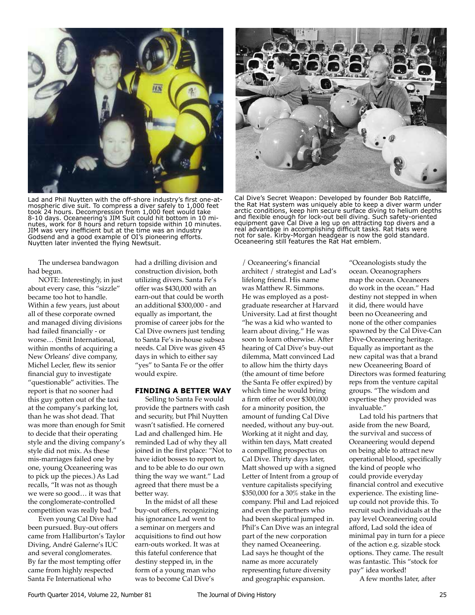

Lad and Phil Nuytten with the off-shore industry's first one-atmospheric dive suit. To compress a diver safely to 1,000 feet took 24 hours. Decompression from 1,000 feet would take 8-10 days. Oceaneering's JIM Suit could hit bottom in 10 minutes, work for 8 hours and return topside within 10 minutes. JIM was very inefficient but at the time was an industry Godsend and a good example of OI's pioneering efforts. Nuytten later invented the flying Newtsuit.

The undersea bandwagon had begun.

NOTE: Interestingly, in just about every case, this "sizzle" became too hot to handle. Within a few years, just about all of these corporate owned and managed diving divisions had failed financially - or worse… (Smit International, within months of acquiring a New Orleans' dive company, Michel Lecler, flew its senior financial guy to investigate "questionable" activities. The report is that no sooner had this guy gotten out of the taxi at the company's parking lot, than he was shot dead. That was more than enough for Smit to decide that their operating style and the diving company's style did not mix. As these mis-marriages failed one by one, young Oceaneering was to pick up the pieces.) As Lad recalls, "It was not as though we were so good… it was that the conglomerate-controlled competition was really bad."

Even young Cal Dive had been pursued. Buy-out offers came from Halliburton's Taylor Diving, André Galerne's IUC and several conglomerates. By far the most tempting offer came from highly respected Santa Fe International who

had a drilling division and construction division, both utilizing divers. Santa Fe's offer was \$430,000 with an earn-out that could be worth an additional \$300,000 - and equally as important, the promise of career jobs for the Cal Dive owners just tending to Santa Fe's in-house subsea needs. Cal Dive was given 45 days in which to either say "yes" to Santa Fe or the offer would expire.

# **FINDING A BETTER WAY**

Selling to Santa Fe would provide the partners with cash and security, but Phil Nuytten wasn't satisfied. He cornered Lad and challenged him. He reminded Lad of why they all joined in the first place: "Not to have idiot bosses to report to, and to be able to do our own thing the way we want." Lad agreed that there must be a better way.

In the midst of all these buy-out offers, recognizing his ignorance Lad went to a seminar on mergers and acquisitions to find out how earn-outs worked. It was at this fateful conference that destiny stepped in, in the form of a young man who was to become Cal Dive's



Cal Dive's Secret Weapon: Developed by founder Bob Ratcliffe, the Rat Hat system was uniquely able to keep a diver warm under arctic conditions, keep him secure surface diving to helium depths and flexible enough for lock-out bell diving. Such safety-oriented equipment gave Cal Dive a leg up on attracting top divers and a real advantage in accomplishing difficult tasks. Rat Hats were not for sale. Kirby-Morgan headgear is now the gold standard. Oceaneering still features the Rat Hat emblem.

/ Oceaneering's financial architect / strategist and Lad's lifelong friend. His name was Matthew R. Simmons. He was employed as a postgraduate researcher at Harvard University. Lad at first thought "he was a kid who wanted to learn about diving." He was soon to learn otherwise. After hearing of Cal Dive's buy-out dilemma, Matt convinced Lad to allow him the thirty days (the amount of time before the Santa Fe offer expired) by which time he would bring a firm offer of over \$300,000 for a minority position, the amount of funding Cal Dive needed, without any buy-out. Working at it night and day, within ten days, Matt created a compelling prospectus on Cal Dive. Thirty days later, Matt showed up with a signed Letter of Intent from a group of venture capitalists specifying \$350,000 for a 30% stake in the company. Phil and Lad rejoiced and even the partners who had been skeptical jumped in. Phil's Can Dive was an integral part of the new corporation they named Oceaneering. Lad says he thought of the name as more accurately representing future diversity and geographic expansion.

"Oceanologists study the ocean. Oceanographers map the ocean. Oceaneers do work in the ocean." Had destiny not stepped in when it did, there would have been no Oceaneering and none of the other companies spawned by the Cal Dive-Can Dive-Oceaneering heritage. Equally as important as the new capital was that a brand new Oceaneering Board of Directors was formed featuring reps from the venture capital groups. "The wisdom and expertise they provided was invaluable."

Lad told his partners that aside from the new Board, the survival and success of Oceaneering would depend on being able to attract new operational blood, specifically the kind of people who could provide everyday financial control and executive experience. The existing lineup could not provide this. To recruit such individuals at the pay level Oceaneering could afford, Lad sold the idea of minimal pay in turn for a piece of the action e.g. sizable stock options. They came. The result was fantastic. This "stock for pay" idea worked!

A few months later, after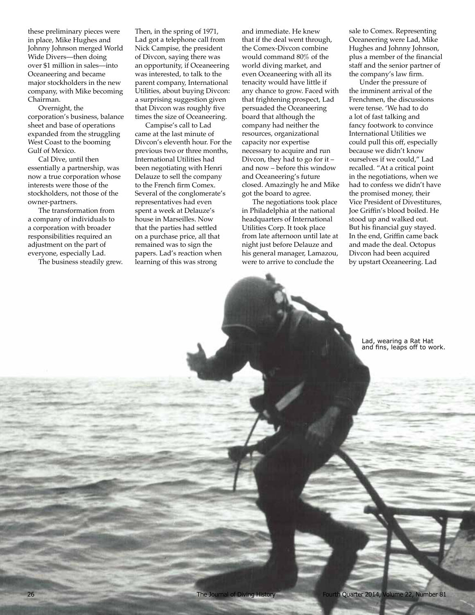these preliminary pieces were in place, Mike Hughes and Johnny Johnson merged World Wide Divers—then doing over \$1 million in sales—into Oceaneering and became major stockholders in the new company, with Mike becoming Chairman.

Overnight, the corporation's business, balance sheet and base of operations expanded from the struggling West Coast to the booming Gulf of Mexico.

Cal Dive, until then essentially a partnership, was now a true corporation whose interests were those of the stockholders, not those of the owner-partners.

The transformation from a company of individuals to a corporation with broader responsibilities required an adjustment on the part of everyone, especially Lad.

The business steadily grew.

Then, in the spring of 1971, Lad got a telephone call from Nick Campise, the president of Divcon, saying there was an opportunity, if Oceaneering was interested, to talk to the parent company, International Utilities, about buying Divcon: a surprising suggestion given that Divcon was roughly five times the size of Oceaneering.

Campise's call to Lad came at the last minute of Divcon's eleventh hour. For the previous two or three months, International Utilities had been negotiating with Henri Delauze to sell the company to the French firm Comex. Several of the conglomerate's representatives had even spent a week at Delauze's house in Marseilles. Now that the parties had settled on a purchase price, all that remained was to sign the papers. Lad's reaction when learning of this was strong

and immediate. He knew that if the deal went through, the Comex-Divcon combine would command 80% of the world diving market, and even Oceaneering with all its tenacity would have little if any chance to grow. Faced with that frightening prospect, Lad persuaded the Oceaneering board that although the company had neither the resources, organizational capacity nor expertise necessary to acquire and run Divcon, they had to go for it – and now – before this window and Oceaneering's future closed. Amazingly he and Mike got the board to agree.

The negotiations took place in Philadelphia at the national headquarters of International Utilities Corp. It took place from late afternoon until late at night just before Delauze and his general manager, Lamazou, were to arrive to conclude the

sale to Comex. Representing Oceaneering were Lad, Mike Hughes and Johnny Johnson, plus a member of the financial staff and the senior partner of the company's law firm.

Under the pressure of the imminent arrival of the Frenchmen, the discussions were tense. 'We had to do a lot of fast talking and fancy footwork to convince International Utilities we could pull this off, especially because we didn't know ourselves if we could," Lad recalled. "At a critical point in the negotiations, when we had to confess we didn't have the promised money, their Vice President of Divestitures, Joe Griffin's blood boiled. He stood up and walked out. But his financial guy stayed. In the end, Griffin came back and made the deal. Octopus Divcon had been acquired by upstart Oceaneering. Lad

> Lad, wearing a Rat Hat and fins, leaps off to work.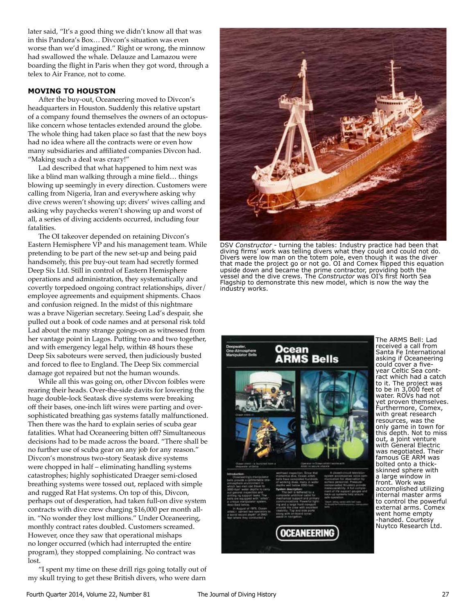later said, "It's a good thing we didn't know all that was in this Pandora's Box… Divcon's situation was even worse than we'd imagined." Right or wrong, the minnow had swallowed the whale. Delauze and Lamazou were boarding the flight in Paris when they got word, through a telex to Air France, not to come.

# **MOVING TO HOUSTON**

After the buy-out, Oceaneering moved to Divcon's headquarters in Houston. Suddenly this relative upstart of a company found themselves the owners of an octopuslike concern whose tentacles extended around the globe. The whole thing had taken place so fast that the new boys had no idea where all the contracts were or even how many subsidiaries and affiliated companies Divcon had. "Making such a deal was crazy!"

Lad described that what happened to him next was like a blind man walking through a mine field… things blowing up seemingly in every direction. Customers were calling from Nigeria, Iran and everywhere asking why dive crews weren't showing up; divers' wives calling and asking why paychecks weren't showing up and worst of all, a series of diving accidents occurred, including four fatalities.

The OI takeover depended on retaining Divcon's Eastern Hemisphere VP and his management team. While pretending to be part of the new set-up and being paid handsomely, this pre buy-out team had secretly formed Deep Six Ltd. Still in control of Eastern Hemisphere operations and administration, they systematically and covertly torpedoed ongoing contract relationships, diver/ employee agreements and equipment shipments. Chaos and confusion reigned. In the midst of this nightmare was a brave Nigerian secretary. Seeing Lad's despair, she pulled out a book of code names and at personal risk told Lad about the many strange goings-on as witnessed from her vantage point in Lagos. Putting two and two together, and with emergency legal help, within 48 hours these Deep Six saboteurs were served, then judiciously busted and forced to flee to England. The Deep Six commercial damage got repaired but not the human wounds.

While all this was going on, other Divcon foibles were rearing their heads. Over-the-side davits for lowering the huge double-lock Seatask dive systems were breaking off their bases, one-inch lift wires were parting and oversophisticated breathing gas systems fatally malfunctioned. Then there was the hard to explain series of scuba gear fatalities. What had Oceaneering bitten off? Simultaneous decisions had to be made across the board. "There shall be no further use of scuba gear on any job for any reason." Divcon's monstrous two-story Seatask dive systems were chopped in half – eliminating handling systems catastrophes; highly sophisticated Draeger semi-closed breathing systems were tossed out, replaced with simple and rugged Rat Hat systems. On top of this, Divcon, perhaps out of desperation, had taken full-on dive system contracts with dive crew charging \$16,000 per month allin. "No wonder they lost millions." Under Oceaneering, monthly contract rates doubled. Customers screamed. However, once they saw that operational mishaps no longer occurred (which had interrupted the entire program), they stopped complaining. No contract was lost.

"I spent my time on these drill rigs going totally out of my skull trying to get these British divers, who were darn



DSV *Constructor* - turning the tables: Industry practice had been that diving firms' work was telling divers what they could and could not do. Divers were low man on the totem pole, even though it was the diver that made the project go or not go. OI and Comex flipped this equation upside down and became the prime contractor, providing both the vessel and the dive crews. The *Constructor* was OI's first North Sea Flagship to demonstrate this new model, which is now the way the industry works.



The ARMS Bell: Lad received a call from Santa Fe International asking if Oceaneering could cover a fiveyear Celtic Sea contract which had a catch to it. The project was to be in 3,000 feet of water. ROVs had not yet proven themselves. Furthermore, Comex, with great research resources, was the only game in town for this depth. Not to miss out, a joint venture with General Electric was negotiated. Their famous GE ARM was bolted onto a thickskinned sphere with a large window in front. Work was accomplished utilizing internal master arms to control the powerful external arms. Comex went home empty -handed. Courtesy Nuytco Research Ltd.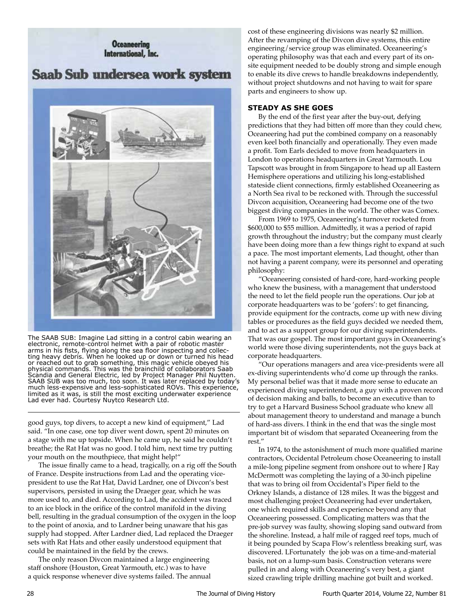# **Oceaneering** International, Inc.

# Saab Sub undersea work system



The SAAB SUB: Imagine Lad sitting in a control cabin wearing an electronic, remote-control helmet with a pair of robotic master arms in his fists, flying along the sea floor inspecting and collecting heavy debris. When he looked up or down or turned his head or reached out to grab something, this magic vehicle obeyed his physical commands. This was the brainchild of collaborators Saab Scandia and General Electric, led by Project Manager Phil Nuytten. SAAB SUB was too much, too soon. It was later replaced by today's much less-expensive and less-sophisticated ROVs. This experience, limited as it was, is still the most exciting underwater experience Lad ever had. Courtesy Nuytco Research Ltd.

good guys, top divers, to accept a new kind of equipment," Lad said. "In one case, one top diver went down, spent 20 minutes on a stage with me up topside. When he came up, he said he couldn't breathe; the Rat Hat was no good. I told him, next time try putting your mouth on the mouthpiece, that might help!"

The issue finally came to a head, tragically, on a rig off the South of France. Despite instructions from Lad and the operating vicepresident to use the Rat Hat, David Lardner, one of Divcon's best supervisors, persisted in using the Draeger gear, which he was more used to, and died. According to Lad, the accident was traced to an ice block in the orifice of the control manifold in the diving bell, resulting in the gradual consumption of the oxygen in the loop to the point of anoxia, and to Lardner being unaware that his gas supply had stopped. After Lardner died, Lad replaced the Draeger sets with Rat Hats and other easily understood equipment that could be maintained in the field by the crews.

The only reason Divcon maintained a large engineering staff onshore (Houston, Great Yarmouth, etc.) was to have a quick response whenever dive systems failed. The annual cost of these engineering divisions was nearly \$2 million. After the revamping of the Divcon dive systems, this entire engineering/service group was eliminated. Oceaneering's operating philosophy was that each and every part of its onsite equipment needed to be doubly strong and simple enough to enable its dive crews to handle breakdowns independently, without project shutdowns and not having to wait for spare parts and engineers to show up.

# **STEADY AS SHE GOES**

By the end of the first year after the buy-out, defying predictions that they had bitten off more than they could chew, Oceaneering had put the combined company on a reasonably even keel both financially and operationally. They even made a profit. Tom Earls decided to move from headquarters in London to operations headquarters in Great Yarmouth. Lou Tapscott was brought in from Singapore to head up all Eastern Hemisphere operations and utilizing his long-established stateside client connections, firmly established Oceaneering as a North Sea rival to be reckoned with. Through the successful Divcon acquisition, Oceaneering had become one of the two biggest diving companies in the world. The other was Comex.

From 1969 to 1975, Oceaneering's turnover rocketed from \$600,000 to \$55 million. Admittedly, it was a period of rapid growth throughout the industry; but the company must clearly have been doing more than a few things right to expand at such a pace. The most important elements, Lad thought, other than not having a parent company, were its personnel and operating philosophy:

"Oceaneering consisted of hard-core, hard-working people who knew the business, with a management that understood the need to let the field people run the operations. Our job at corporate headquarters was to be 'gofers': to get financing, provide equipment for the contracts, come up with new diving tables or procedures as the field guys decided we needed them, and to act as a support group for our diving superintendents. That was our gospel. The most important guys in Oceaneering's world were those diving superintendents, not the guys back at corporate headquarters.

"Our operations managers and area vice-presidents were all ex-diving superintendents who'd come up through the ranks. My personal belief was that it made more sense to educate an experienced diving superintendent, a guy with a proven record of decision making and balls, to become an executive than to try to get a Harvard Business School graduate who knew all about management theory to understand and manage a bunch of hard-ass divers. I think in the end that was the single most important bit of wisdom that separated Oceaneering from the rest."

In 1974, to the astonishment of much more qualified marine contractors, Occidental Petroleum chose Oceaneering to install a mile-long pipeline segment from onshore out to where J Ray McDermott was completing the laying of a 30-inch pipeline that was to bring oil from Occidental's Piper field to the Orkney Islands, a distance of 128 miles. It was the biggest and most challenging project Oceaneering had ever undertaken, one which required skills and experience beyond any that Oceaneering possessed. Complicating matters was that the pre-job survey was faulty, showing sloping sand outward from the shoreline. Instead, a half mile of ragged reef tops, much of it being pounded by Scapa Flow's relentless breaking surf, was discovered. LFortunately the job was on a time-and-material basis, not on a lump-sum basis. Construction veterans were pulled in and along with Oceaneering's very best, a giant sized crawling triple drilling machine got built and worked.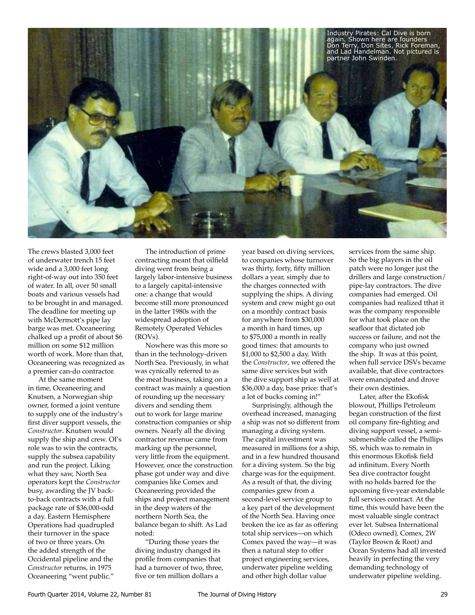

The crews blasted 3,000 feet of underwater trench 15 feet wide and a 3,000 feet long right-of-way out into 350 feet of water. In all, over 50 small boats and various vessels had to be brought in and managed. The deadline for meeting up with McDermott's pipe lay barge was met. Oceaneering chalked up a profit of about \$6 million on some \$12 million worth of work. More than that, Oceaneering was recognized as a premier can-do contractor.

At the same moment in time, Oceaneering and Knutsen, a Norwegian ship owner, formed a joint venture to supply one of the industry's first diver support vessels, the *Constructor*. Knutsen would supply the ship and crew. OI's role was to win the contracts, supply the subsea capability and run the project. Liking what they saw, North Sea operators kept the *Constructor* busy, awarding the JV backto-back contracts with a full package rate of \$36,000-odd a day. Eastern Hemisphere Operations had quadrupled their turnover in the space of two or three years. On the added strength of the Occidental pipeline and the *Constructor* returns, in 1975 Oceaneering "went public."

The introduction of prime contracting meant that oilfield diving went from being a largely labor-intensive business to a largely capital-intensive one: a change that would become still more pronounced in the latter 1980s with the widespread adoption of Remotely Operated Vehicles (ROVs).

Nowhere was this more so than in the technology-driven North Sea. Previously, in what was cynically referred to as the meat business, taking on a contract was mainly a question of rounding up the necessary divers and sending them out to work for large marine construction companies or ship owners. Nearly all the diving contractor revenue came from marking up the personnel, very little from the equipment. However, once the construction phase got under way and dive companies like Comex and Oceaneering provided the ships and project management in the deep waters of the northern North Sea, the balance began to shift. As Lad noted:

"During those years the diving industry changed its profile from companies that had a turnover of two, three, five or ten million dollars a

year based on diving services, to companies whose turnover was thirty, forty, fifty million dollars a year, simply due to the charges connected with supplying the ships. A diving system and crew might go out on a monthly contract basis for anywhere from \$30,000 a month in hard times, up to \$75,000 a month in really good times: that amounts to \$1,000 to \$2,500 a day. With the *Constructor*, we offered the same dive services but with the dive support ship as well at \$36,000 a day, base price: that's a lot of bucks coming in!"

Surprisingly, although the overhead increased, managing a ship was not so different from managing a diving system. The capital investment was measured in millions for a ship, and in a few hundred thousand for a diving system. So the big charge was for the equipment. As a result of that, the diving companies grew from a second-level service group to a key part of the development of the North Sea. Having once broken the ice as far as offering total ship services—on which Comex paved the way—it was then a natural step to offer project engineering services, underwater pipeline welding and other high dollar value

services from the same ship. So the big players in the oil patch were no longer just the drillers and large construction/ pipe-lay contractors. The dive companies had emerged. Oil companies had realized tthat it was the company responsible for what took place on the seafloor that dictated job success or failure, and not the company who just owned the ship. It was at this point, when full service DSVs became available, that dive contractors were emancipated and drove their own destinies.

Later, after the Ekofisk blowout, Phillips Petroleum began construction of the first oil company fire-fighting and diving support vessel, a semisubmersible called the Phillips SS, which was to remain in this enormous Ekofisk field ad infinitum. Every North Sea dive contractor fought with no holds barred for the upcoming five-year extendable full services contract. At the time, this would have been the most valuable single contract ever let. Subsea International (Odeco owned), Comex, 2W (Taylor Brown & Root) and Ocean Systems had all invested heavily in perfecting the very demanding technology of underwater pipeline welding.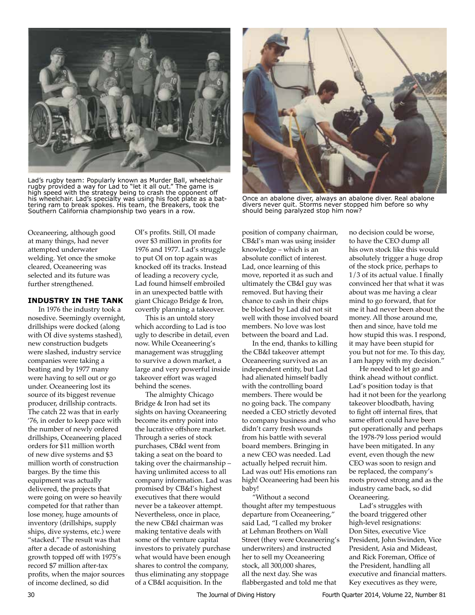

Lad's rugby team: Popularly known as Murder Ball, wheelchair rugby provided a way for Lad to "let it all out." The game is high speed with the strategy being to crash the opponent off his wheelchair. Lad's specialty was using his foot plate as a battering ram to break spokes. His team, the Breakers, took the Southern California championship two years in a row.

Once an abalone diver, always an abalone diver. Real abalone divers never quit. Storms never stopped him before so why should being paralyzed stop him now?

Oceaneering, although good at many things, had never attempted underwater welding. Yet once the smoke cleared, Oceaneering was selected and its future was further strengthened.

# **INDUSTRY IN THE TANK**

In 1976 the industry took a nosedive. Seemingly overnight, drillships were docked (along with OI dive systems stashed), new construction budgets were slashed, industry service companies were taking a beating and by 1977 many were having to sell out or go under. Oceaneering lost its source of its biggest revenue producer, drillship contracts. The catch 22 was that in early '76, in order to keep pace with the number of newly ordered drillships, Oceaneering placed orders for \$11 million worth of new dive systems and \$3 million worth of construction barges. By the time this equipment was actually delivered, the projects that were going on were so heavily competed for that rather than lose money, huge amounts of inventory (drillships, supply ships, dive systems, etc.) were "stacked." The result was that after a decade of astonishing growth topped off with 1975's record \$7 million after-tax profits, when the major sources of income declined, so did

OI's profits. Still, OI made over \$3 million in profits for 1976 and 1977. Lad's struggle to put OI on top again was knocked off its tracks. Instead of leading a recovery cycle, Lad found himself embroiled in an unexpected battle with giant Chicago Bridge & Iron, covertly planning a takeover.

This is an untold story which according to Lad is too ugly to describe in detail, even now. While Oceaneering's management was struggling to survive a down market, a large and very powerful inside takeover effort was waged behind the scenes.

The almighty Chicago Bridge & Iron had set its sights on having Oceaneering become its entry point into the lucrative offshore market. Through a series of stock purchases, CB&I went from taking a seat on the board to taking over the chairmanship – having unlimited access to all company information. Lad was promised by CB&I's highest executives that there would never be a takeover attempt. Nevertheless, once in place, the new CB&I chairman was making tentative deals with some of the venture capital investors to privately purchase what would have been enough shares to control the company, thus eliminating any stoppage of a CB&I acquisition. In the

position of company chairman, CB&I's man was using insider knowledge – which is an absolute conflict of interest. Lad, once learning of this move, reported it as such and ultimately the CB&I guy was removed. But having their chance to cash in their chips be blocked by Lad did not sit well with those involved board members. No love was lost between the board and Lad.

In the end, thanks to killing the CB&I takeover attempt Oceaneering survived as an independent entity, but Lad had alienated himself badly with the controlling board members. There would be no going back. The company needed a CEO strictly devoted to company business and who didn't carry fresh wounds from his battle with several board members. Bringing in a new CEO was needed. Lad actually helped recruit him. Lad was out! His emotions ran high! Oceaneering had been his baby!

"Without a second thought after my tempestuous departure from Oceaneering," said Lad, "I called my broker at Lehman Brothers on Wall Street (they were Oceaneering's underwriters) and instructed her to sell my Oceaneering stock, all 300,000 shares, all the next day. She was flabbergasted and told me that

no decision could be worse, to have the CEO dump all his own stock like this would absolutely trigger a huge drop of the stock price, perhaps to 1/3 of its actual value. I finally convinced her that what it was about was me having a clear mind to go forward, that for me it had never been about the money. All those around me, then and since, have told me how stupid this was. I respond, it may have been stupid for you but not for me. To this day, I am happy with my decision."

He needed to let go and think ahead without conflict. Lad's position today is that had it not been for the yearlong takeover bloodbath, having to fight off internal fires, that same effort could have been put operationally and perhaps the 1978-79 loss period would have been mitigated. In any event, even though the new CEO was soon to resign and be replaced, the company's roots proved strong and as the industry came back, so did Oceaneering.

Lad's struggles with the board triggered other high-level resignations: Don Sites, executive Vice President, John Swinden, Vice President, Asia and Mideast, and Rick Foreman, Office of the President, handling all executive and financial matters. Key executives as they were,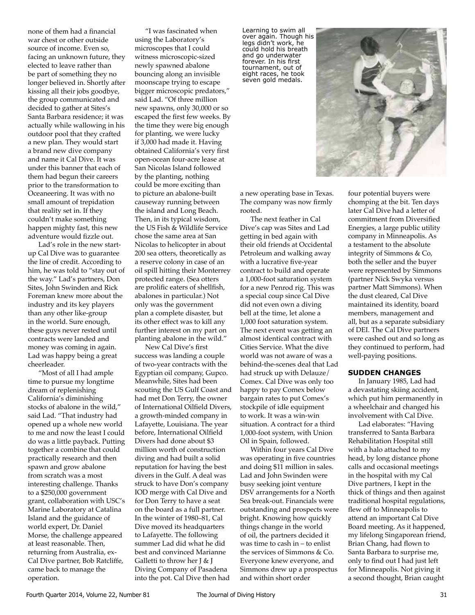none of them had a financial war chest or other outside source of income. Even so, facing an unknown future, they elected to leave rather than be part of something they no longer believed in. Shortly after kissing all their jobs goodbye, the group communicated and decided to gather at Sites's Santa Barbara residence; it was actually while wallowing in his outdoor pool that they crafted a new plan. They would start a brand new dive company and name it Cal Dive. It was under this banner that each of them had begun their careers prior to the transformation to Oceaneering. It was with no small amount of trepidation that reality set in. If they couldn't make something happen mighty fast, this new adventure would fizzle out.

Lad's role in the new startup Cal Dive was to guarantee the line of credit. According to him, he was told to "stay out of the way." Lad's partners, Don Sites, John Swinden and Rick Foreman knew more about the industry and its key players than any other like-group in the world. Sure enough, these guys never rested until contracts were landed and money was coming in again. Lad was happy being a great cheerleader.

"Most of all I had ample time to pursue my longtime dream of replenishing California's diminishing stocks of abalone in the wild," said Lad. "That industry had opened up a whole new world to me and now the least I could do was a little payback. Putting together a combine that could practically research and then spawn and grow abalone from scratch was a most interesting challenge. Thanks to a \$250,000 government grant, collaboration with USC's Marine Laboratory at Catalina Island and the guidance of world expert, Dr. Daniel Morse, the challenge appeared at least reasonable. Then, returning from Australia, ex-Cal Dive partner, Bob Ratcliffe, came back to manage the operation.

"I was fascinated when using the Laboratory's microscopes that I could witness microscopic-sized newly spawned abalone bouncing along an invisible moonscape trying to escape bigger microscopic predators," said Lad. "Of three million new spawns, only 30,000 or so escaped the first few weeks. By the time they were big enough for planting, we were lucky if 3,000 had made it. Having obtained California's very first open-ocean four-acre lease at San Nicolas Island followed by the planting, nothing could be more exciting than to picture an abalone-built causeway running between the island and Long Beach. Then, in its typical wisdom, the US Fish & Wildlife Service chose the same area at San Nicolas to helicopter in about 200 sea otters, theoretically as a reserve colony in case of an oil spill hitting their Monterrey protected range. (Sea otters are prolific eaters of shellfish, abalones in particular.) Not only was the government plan a complete disaster, but its other effect was to kill any further interest on my part on planting abalone in the wild."

New Cal Dive's first success was landing a couple of two-year contracts with the Egyptian oil company, Gupco. Meanwhile, Sites had been scouting the US Gulf Coast and had met Don Terry, the owner of International Oilfield Divers, a growth-minded company in Lafayette, Louisiana. The year before, International Oilfield Divers had done about \$3 million worth of construction diving and had built a solid reputation for having the best divers in the Gulf. A deal was struck to have Don's company IOD merge with Cal Dive and for Don Terry to have a seat on the board as a full partner. In the winter of 1980–81, Cal Dive moved its headquarters to Lafayette. The following summer Lad did what he did best and convinced Marianne Galletti to throw her J & J Diving Company of Pasadena into the pot. Cal Dive then had

Learning to swim all over again. Though his legs didn't work, he could hold his breath and go underwater forever. In his first tournament, out of eight races, he took seven gold medals.



The next feather in Cal Dive's cap was Sites and Lad getting in bed again with their old friends at Occidental Petroleum and walking away with a lucrative five-year contract to build and operate a 1,000-foot saturation system for a new Penrod rig. This was a special coup since Cal Dive did not even own a diving bell at the time, let alone a 1,000 foot saturation system. The next event was getting an almost identical contract with Cities Service. What the dive world was not aware of was a behind-the-scenes deal that Lad had struck up with Delauze/ Comex. Cal Dive was only too happy to pay Comex below bargain rates to put Comex's stockpile of idle equipment to work. It was a win-win situation. A contract for a third 1,000-foot system, with Union Oil in Spain, followed.

Within four years Cal Dive was operating in five countries and doing \$11 million in sales. Lad and John Swinden were busy seeking joint venture DSV arrangements for a North Sea break-out. Financials were outstanding and prospects were bright. Knowing how quickly things change in the world of oil, the partners decided it was time to cash in – to enlist the services of Simmons & Co. Everyone knew everyone, and Simmons drew up a prospectus and within short order



four potential buyers were chomping at the bit. Ten days later Cal Dive had a letter of commitment from Diversified Energies, a large public utility company in Minneapolis. As a testament to the absolute integrity of Simmons & Co, both the seller and the buyer were represented by Simmons (partner Nick Swyka versus partner Matt Simmons). When the dust cleared, Cal Dive maintained its identity, board members, management and all, but as a separate subsidiary of DEI. The Cal Dive partners were cashed out and so long as they continued to perform, had well-paying positions.

### **SUDDEN CHANGES**

In January 1985, Lad had a devastating skiing accident, which put him permanently in a wheelchair and changed his involvement with Cal Dive.

Lad elaborates: "Having transferred to Santa Barbara Rehabilitation Hospital still with a halo attached to my head, by long distance phone calls and occasional meetings in the hospital with my Cal Dive partners, I kept in the thick of things and then against traditional hospital regulations, flew off to Minneapolis to attend an important Cal Dive Board meeting. As it happened, my lifelong Singaporean friend, Brian Chang, had flown to Santa Barbara to surprise me, only to find out I had just left for Minneapolis. Not giving it a second thought, Brian caught